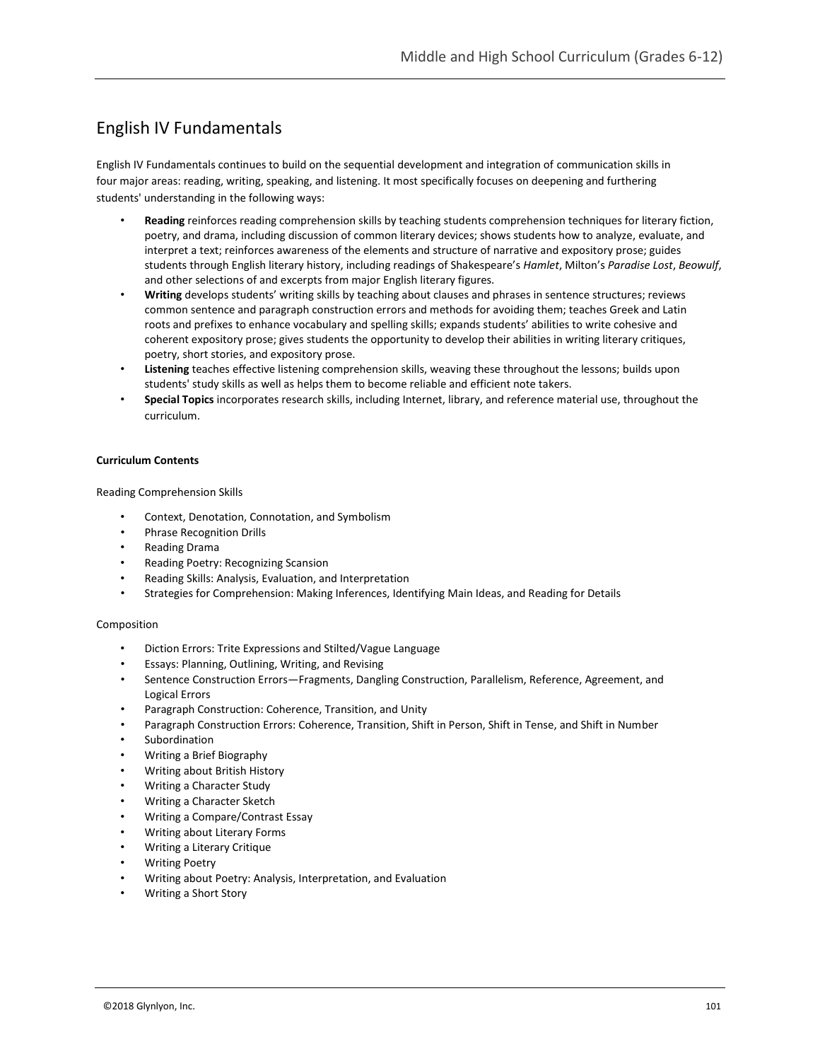# English IV Fundamentals

English IV Fundamentals continues to build on the sequential development and integration of communication skills in four major areas: reading, writing, speaking, and listening. It most specifically focuses on deepening and furthering students' understanding in the following ways:

- **Reading** reinforces reading comprehension skills by teaching students comprehension techniques for literary fiction, poetry, and drama, including discussion of common literary devices; shows students how to analyze, evaluate, and interpret a text; reinforces awareness of the elements and structure of narrative and expository prose; guides students through English literary history, including readings of Shakespeare's *Hamlet*, Milton's *Paradise Lost*, *Beowulf*, and other selections of and excerpts from major English literary figures.
- **Writing** develops students' writing skills by teaching about clauses and phrases in sentence structures; reviews common sentence and paragraph construction errors and methods for avoiding them; teaches Greek and Latin roots and prefixes to enhance vocabulary and spelling skills; expands students' abilities to write cohesive and coherent expository prose; gives students the opportunity to develop their abilities in writing literary critiques, poetry, short stories, and expository prose.
- **Listening** teaches effective listening comprehension skills, weaving these throughout the lessons; builds upon students' study skills as well as helps them to become reliable and efficient note takers.
- **Special Topics** incorporates research skills, including Internet, library, and reference material use, throughout the curriculum.

### **Curriculum Contents**

Reading Comprehension Skills

- Context, Denotation, Connotation, and Symbolism
- Phrase Recognition Drills
- Reading Drama
- Reading Poetry: Recognizing Scansion
- Reading Skills: Analysis, Evaluation, and Interpretation
- Strategies for Comprehension: Making Inferences, Identifying Main Ideas, and Reading for Details

### Composition

- Diction Errors: Trite Expressions and Stilted/Vague Language
- Essays: Planning, Outlining, Writing, and Revising
- Sentence Construction Errors—Fragments, Dangling Construction, Parallelism, Reference, Agreement, and Logical Errors
- Paragraph Construction: Coherence, Transition, and Unity
- Paragraph Construction Errors: Coherence, Transition, Shift in Person, Shift in Tense, and Shift in Number
- **Subordination**
- Writing a Brief Biography
- Writing about British History
- Writing a Character Study
- Writing a Character Sketch
- Writing a Compare/Contrast Essay
- Writing about Literary Forms
- Writing a Literary Critique
- Writing Poetry
- Writing about Poetry: Analysis, Interpretation, and Evaluation
- Writing a Short Story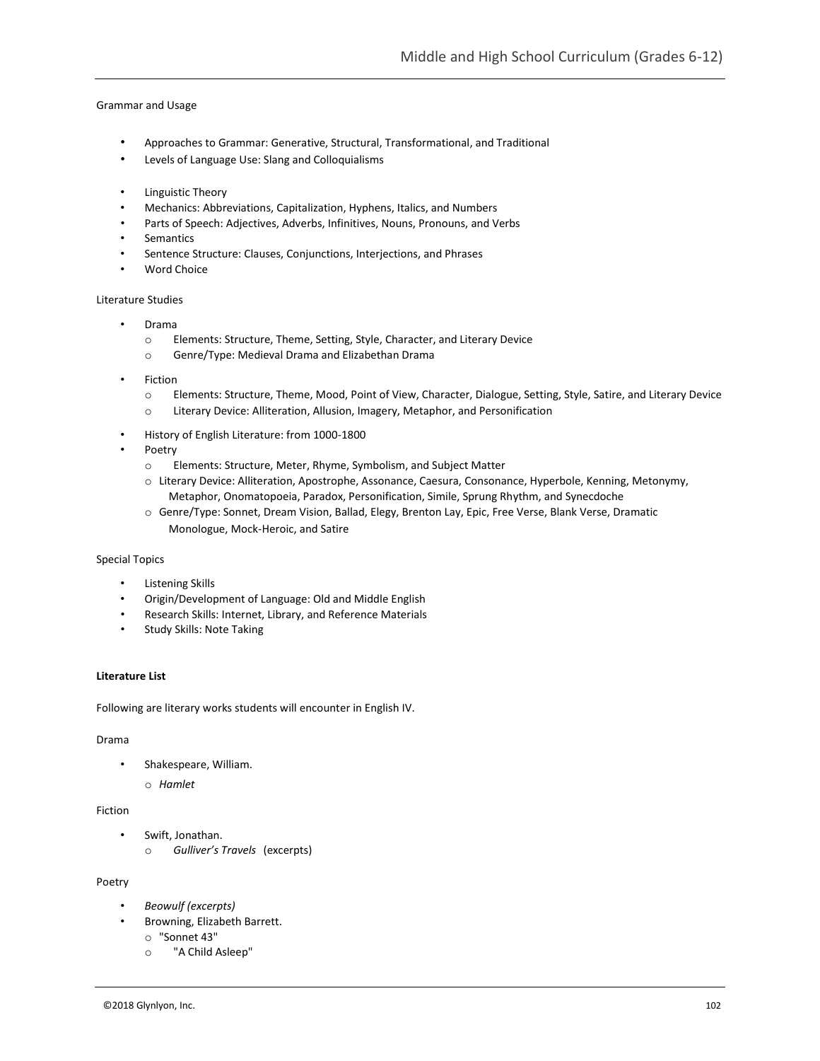### Grammar and Usage

- Approaches to Grammar: Generative, Structural, Transformational, and Traditional
- Levels of Language Use: Slang and Colloquialisms
- Linguistic Theory
- Mechanics: Abbreviations, Capitalization, Hyphens, Italics, and Numbers
- Parts of Speech: Adjectives, Adverbs, Infinitives, Nouns, Pronouns, and Verbs
- Semantics
- Sentence Structure: Clauses, Conjunctions, Interjections, and Phrases
- Word Choice

### Literature Studies

- Drama
	- o Elements: Structure, Theme, Setting, Style, Character, and Literary Device
	- o Genre/Type: Medieval Drama and Elizabethan Drama
- **Fiction** 
	- o Elements: Structure, Theme, Mood, Point of View, Character, Dialogue, Setting, Style, Satire, and Literary Device
	- o Literary Device: Alliteration, Allusion, Imagery, Metaphor, and Personification
- History of English Literature: from 1000-1800
- Poetry
	- o Elements: Structure, Meter, Rhyme, Symbolism, and Subject Matter
	- o Literary Device: Alliteration, Apostrophe, Assonance, Caesura, Consonance, Hyperbole, Kenning, Metonymy, Metaphor, Onomatopoeia, Paradox, Personification, Simile, Sprung Rhythm, and Synecdoche
	- o Genre/Type: Sonnet, Dream Vision, Ballad, Elegy, Brenton Lay, Epic, Free Verse, Blank Verse, Dramatic Monologue, Mock-Heroic, and Satire

### Special Topics

- Listening Skills
- Origin/Development of Language: Old and Middle English
- Research Skills: Internet, Library, and Reference Materials
- Study Skills: Note Taking

### **Literature List**

Following are literary works students will encounter in English IV.

### Drama

- Shakespeare, William.
	- o *Hamlet*

### Fiction

- Swift, Jonathan.
	- o *Gulliver's Travels* (excerpts)

### Poetry

- *Beowulf (excerpts)*
- Browning, Elizabeth Barrett.
	- o "Sonnet 43"
	- o "A Child Asleep"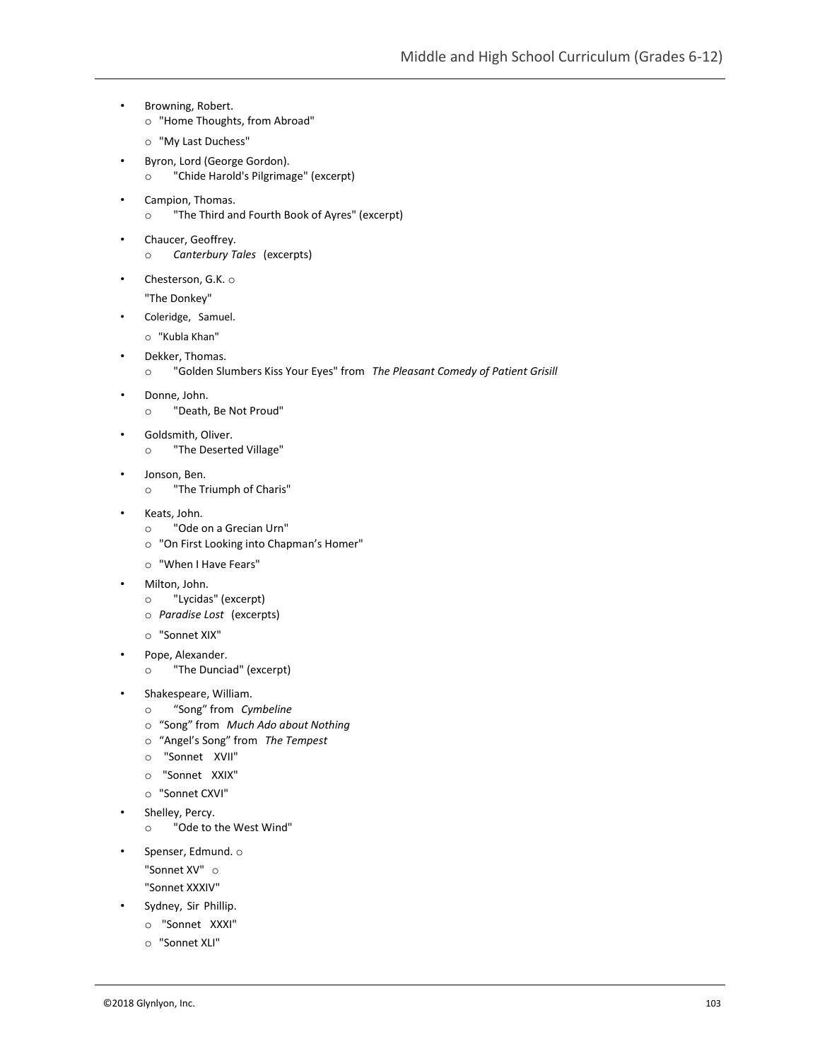- Browning, Robert.
	- o "Home Thoughts, from Abroad"
	- o "My Last Duchess"
- Byron, Lord (George Gordon). o "Chide Harold's Pilgrimage" (excerpt)
- Campion, Thomas. o "The Third and Fourth Book of Ayres" (excerpt)
- Chaucer, Geoffrey. o *Canterbury Tales* (excerpts)
- Chesterson, G.K. o

"The Donkey"

- Coleridge, Samuel.
	- o "Kubla Khan"
- Dekker, Thomas.

• Donne, John.

- o "Golden Slumbers Kiss Your Eyes" from *The Pleasant Comedy of Patient Grisill*
- o "Death, Be Not Proud"
- Goldsmith, Oliver.
	- o "The Deserted Village"
- Jonson, Ben. o "The Triumph of Charis"
- Keats, John.
	- o "Ode on a Grecian Urn"
	- o "On First Looking into Chapman's Homer"
	- o "When I Have Fears"
- Milton, John.
	- o "Lycidas" (excerpt)
	- o *Paradise Lost* (excerpts)
	- o "Sonnet XIX"
- Pope, Alexander.
	- o "The Dunciad" (excerpt)
- Shakespeare, William.
	- o "Song" from *Cymbeline*
	- o "Song" from *Much Ado about Nothing*
	- o "Angel's Song" from *The Tempest*
	- o "Sonnet XVII"
	- o "Sonnet XXIX"
	- o "Sonnet CXVI"
- Shelley, Percy.
	- o "Ode to the West Wind"
- Spenser, Edmund. o
	- "Sonnet XV" o
	- "Sonnet XXXIV"
- Sydney, Sir Phillip.
	- o "Sonnet XXXI"
	- o "Sonnet XLI"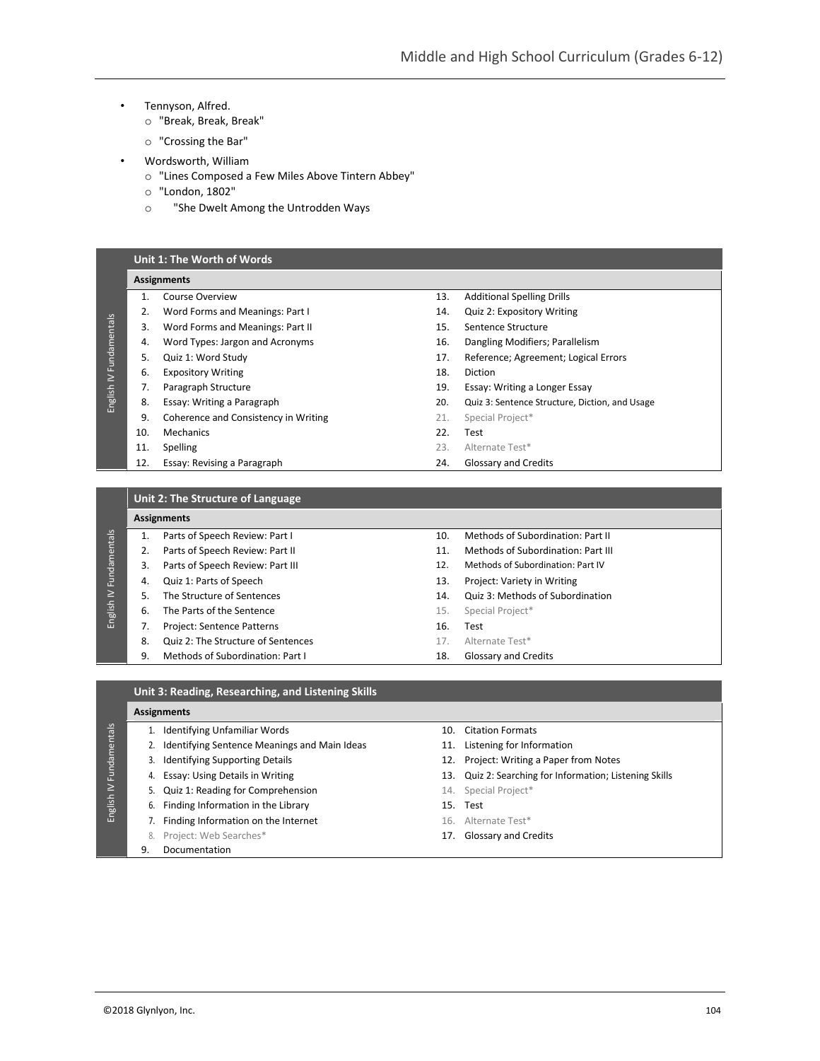- Tennyson, Alfred.
	- o "Break, Break, Break"
	- o "Crossing the Bar"
- Wordsworth, William
	- o "Lines Composed a Few Miles Above Tintern Abbey"
	- o "London, 1802"
	- o "She Dwelt Among the Untrodden Ways

#### **Unit 1: The Worth of Words Assignments** 1. Course Overview 13. Additional Spelling Drills 2. Word Forms and Meanings: Part I 14. Quiz 2: Expository Writing English IV Fundamentals English IV Fundamentals 3. Word Forms and Meanings: Part II 15. Sentence Structure 4. Word Types: Jargon and Acronyms 16. Dangling Modifiers; Parallelism 5. Quiz 1: Word Study 17. Reference; Agreement; Logical Errors 6. Expository Writing 18. Diction 7. Paragraph Structure 19. Essay: Writing a Longer Essay 20. Quiz 3: Sentence Structure, Diction, and Usage 8. Essay: Writing a Paragraph 9. Coherence and Consistency in Writing 21. Special Project\* 10. Mechanics 22. Test 11. Spelling 23. Alternate Test\* 12. Essay: Revising a Paragraph 24. Glossary and Credits

**Unit 2: The Structure of Language**

#### **Assignments**

|              |    | ASSIRIIIIEIIUS                     |     |                                    |  |  |  |
|--------------|----|------------------------------------|-----|------------------------------------|--|--|--|
| Fundamentals |    | Parts of Speech Review: Part I     | 10  | Methods of Subordination: Part II  |  |  |  |
|              | 2. | Parts of Speech Review: Part II    | 11  | Methods of Subordination: Part III |  |  |  |
|              | 3. | Parts of Speech Review: Part III   | 12. | Methods of Subordination: Part IV  |  |  |  |
|              | 4. | Quiz 1: Parts of Speech            | 13. | Project: Variety in Writing        |  |  |  |
|              | 5. | The Structure of Sentences         | 14. | Quiz 3: Methods of Subordination   |  |  |  |
| English IV   | 6. | The Parts of the Sentence          | 15. | Special Project*                   |  |  |  |
|              |    | Project: Sentence Patterns         | 16. | Test                               |  |  |  |
|              | 8. | Quiz 2: The Structure of Sentences | 17. | Alternate Test*                    |  |  |  |
|              | 9. | Methods of Subordination: Part I   | 18. | <b>Glossary and Credits</b>        |  |  |  |

### **Unit 3: Reading, Researching, and Listening Skills**

### **Assignments**

English IV Fundamentals

English IV Fundamentals

- 1. Identifying Unfamiliar Words 10. Citation Formats
- 2. Identifying Sentence Meanings and Main Ideas 11. Listening for Information
- -
- 5. Quiz 1: Reading for Comprehension 14. Special Project\*
- 6. Finding Information in the Library 15. Test
	- 7. Finding Information on the Internet 16. Alternate Test\*
	- 8. Project: Web Searches\* 17. Glossary and Credits
	- 9. Documentation
- 
- 
- 3. Identifying Supporting Details 12. Project: Writing a Paper from Notes
- 4. Essay: Using Details in Writing 13. Quiz 2: Searching for Information; Listening Skills
	-
	-
	-
	-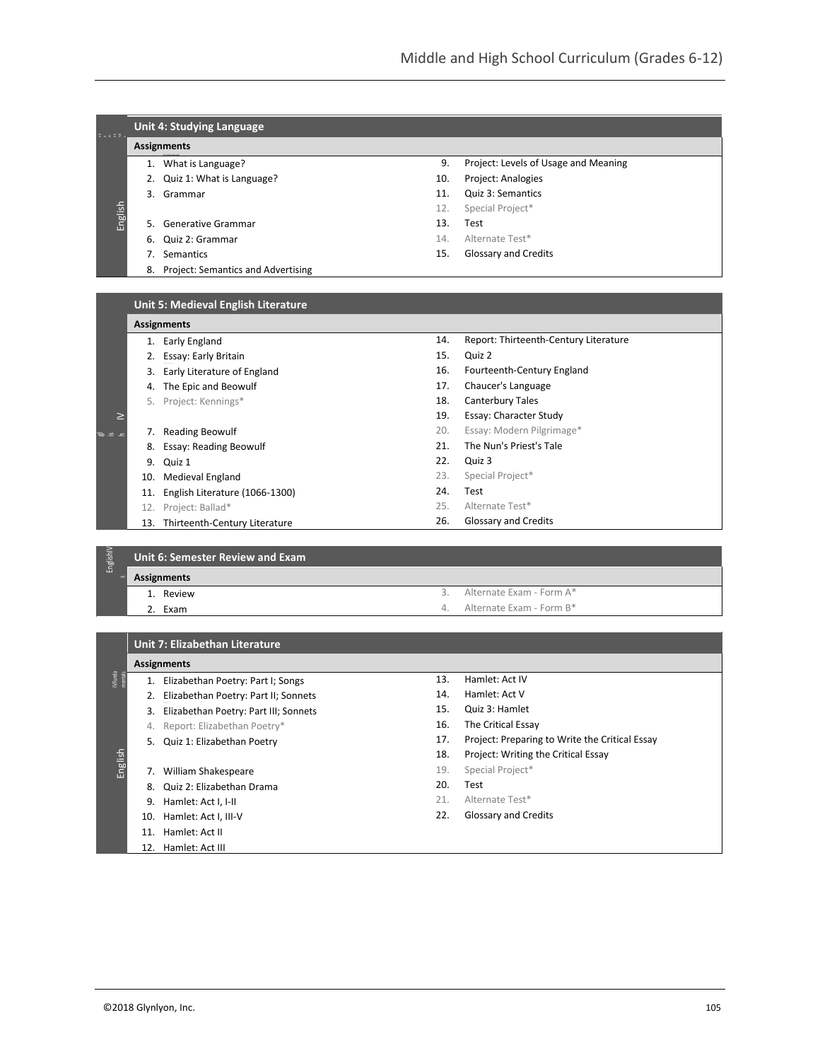| Unit 4: Studying Language |                                    |                                                                                                            |                                      |  |  |
|---------------------------|------------------------------------|------------------------------------------------------------------------------------------------------------|--------------------------------------|--|--|
|                           |                                    |                                                                                                            |                                      |  |  |
|                           |                                    | 9.                                                                                                         | Project: Levels of Usage and Meaning |  |  |
|                           |                                    | 10.                                                                                                        | Project: Analogies                   |  |  |
|                           |                                    | 11.                                                                                                        | Quiz 3: Semantics                    |  |  |
|                           |                                    | 12.                                                                                                        | Special Project*                     |  |  |
|                           |                                    | 13.                                                                                                        | Test                                 |  |  |
| 6.                        | Quiz 2: Grammar                    | 14.                                                                                                        | Alternate Test*                      |  |  |
|                           | Semantics                          | 15.                                                                                                        | <b>Glossary and Credits</b>          |  |  |
| 8.                        | Project: Semantics and Advertising |                                                                                                            |                                      |  |  |
|                           |                                    | Assignments<br>1. What is Language?<br>2. Quiz 1: What is Language?<br>3. Grammar<br>5. Generative Grammar |                                      |  |  |

# **Unit 5: Medieval English Literature**

 $\overline{p}$ 

|               | <b>Assignments</b> |                                |     |                                       |  |
|---------------|--------------------|--------------------------------|-----|---------------------------------------|--|
|               |                    | Early England                  | 14. | Report: Thirteenth-Century Literature |  |
|               |                    | Essay: Early Britain           | 15. | Quiz 2                                |  |
|               | 3.                 | Early Literature of England    | 16. | Fourteenth-Century England            |  |
|               | 4.                 | The Epic and Beowulf           | 17. | Chaucer's Language                    |  |
|               | 5.                 | Project: Kennings*             | 18. | <b>Canterbury Tales</b>               |  |
| ⊵             |                    |                                | 19. | Essay: Character Study                |  |
| $\sim$ $\sim$ |                    | <b>Reading Beowulf</b>         | 20. | Essay: Modern Pilgrimage*             |  |
|               | 8.                 | Essay: Reading Beowulf         | 21. | The Nun's Priest's Tale               |  |
|               | 9.                 | Quiz 1                         | 22. | Quiz 3                                |  |
|               | 10.                | Medieval England               | 23. | Special Project*                      |  |
|               | 11.                | English Literature (1066-1300) | 24. | Test                                  |  |
|               | 12.                | Project: Ballad*               | 25. | Alternate Test*                       |  |
|               | 13.                | Thirteenth-Century Literature  | 26. | Glossary and Credits                  |  |

| Englishl | Unit 6: Semester Review and Exam |               |                             |  |  |
|----------|----------------------------------|---------------|-----------------------------|--|--|
|          | Assignments                      |               |                             |  |  |
|          | 1. Review                        | $\mathcal{R}$ | Alternate Exam - Form A*    |  |  |
|          | 2. Exam                          |               | 4. Alternate Exam - Form B* |  |  |
|          |                                  |               |                             |  |  |

|                   |                    | Unit 7: Elizabethan Literature        |     |                                                |  |  |
|-------------------|--------------------|---------------------------------------|-----|------------------------------------------------|--|--|
|                   | <b>Assignments</b> |                                       |     |                                                |  |  |
| MFunda<br>mentals | 1.                 | Elizabethan Poetry: Part I; Songs     | 13. | Hamlet: Act IV                                 |  |  |
|                   |                    | Elizabethan Poetry: Part II; Sonnets  | 14. | Hamlet: Act V                                  |  |  |
|                   | 3.                 | Elizabethan Poetry: Part III; Sonnets | 15. | Quiz 3: Hamlet                                 |  |  |
|                   | 4.                 | Report: Elizabethan Poetry*           | 16. | The Critical Essay                             |  |  |
|                   | 5.                 | Quiz 1: Elizabethan Poetry            | 17. | Project: Preparing to Write the Critical Essay |  |  |
|                   |                    |                                       | 18. | Project: Writing the Critical Essay            |  |  |
| English           | 7.                 | William Shakespeare                   | 19. | Special Project*                               |  |  |
|                   | 8.                 | Quiz 2: Elizabethan Drama             | 20. | Test                                           |  |  |
|                   | 9.                 | Hamlet: Act I, I-II                   | 21. | Alternate Test*                                |  |  |
|                   | 10.                | Hamlet: Act I, III-V                  | 22. | <b>Glossary and Credits</b>                    |  |  |
|                   | 11.                | Hamlet: Act II                        |     |                                                |  |  |
|                   | 12.                | Hamlet: Act III                       |     |                                                |  |  |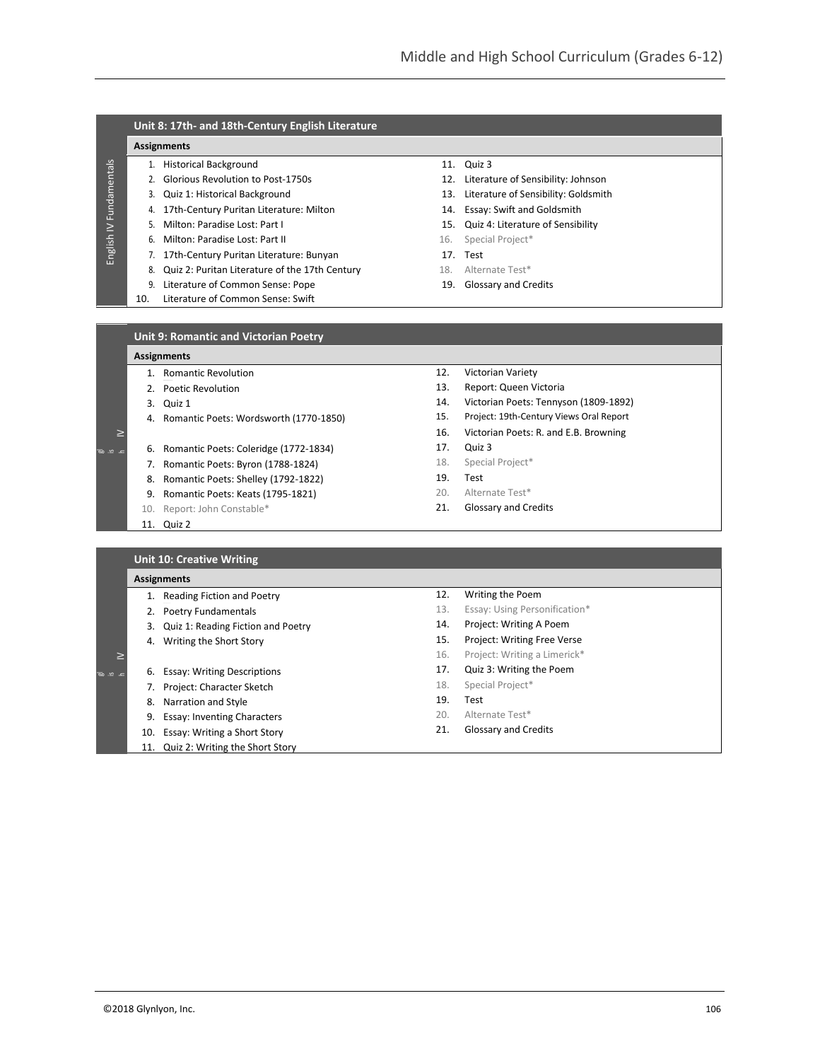## **Unit 8: 17th- and 18th-Century English Literature**

### **Assignments**

### 1. Historical Background 11. Quiz 3

- 2. Glorious Revolution to Post-1750s 12. Literature of Sensibility: Johnson
- 
- 4. 17th-Century Puritan Literature: Milton 14. Essay: Swift and Goldsmith
- 
- 6. Milton: Paradise Lost: Part II 16. Special Project\*
- 7. 17th-Century Puritan Literature: Bunyan 17. Test
- 8. Quiz 2: Puritan Literature of the 17th Century 18. Alternate Test\*
- 9. Literature of Common Sense: Pope 19. Clossary and Credits 10. Literature of Common Sense: Swift
- Literature of Common Sense: Swift

- 
- 3. Quiz 1: Historical Background 13. Literature of Sensibility: Goldsmith
	-
- 5. Milton: Paradise Lost: Part I 15. Quiz 4: Literature of Sensibility
	-
	-
	-
	-

### **Unit 9: Romantic and Victorian Poetry**

### **Assignments**

- 1. Romantic Revolution
- 2. Poetic Revolution
- 3. Quiz 1
- 4. Romantic Poets: Wordsworth (1770-1850)
- $\geq$  I  $\sim$ h

 $\overline{p}$ 

English IV Fundamentals

English IV Fundamentals

- 6. Romantic Poets: Coleridge (1772-1834)
- 7. Romantic Poets: Byron (1788-1824)
- 8. Romantic Poets: Shelley (1792-1822)
- 9. Romantic Poets: Keats (1795-1821)
- 10. Report: John Constable\*
- 11. Quiz 2

**Unit 10: Creative Writing**

- 12. Victorian Variety
- 13. Report: Queen Victoria
- 14. Victorian Poets: Tennyson (1809-1892)
- 15. Project: 19th-Century Views Oral Report
- 16. Victorian Poets: R. and E.B. Browning
- 17. Quiz 3
- 18. Special Project\*
- 19. Test
- 20. Alternate Test\*
- 21. Glossary and Credits

|                            | <b>UTTLED.</b> Creative Willing    |     |                               |  |
|----------------------------|------------------------------------|-----|-------------------------------|--|
|                            | <b>Assignments</b>                 |     |                               |  |
|                            | Reading Fiction and Poetry         | 12. | Writing the Poem              |  |
|                            | Poetry Fundamentals                | 13. | Essay: Using Personification* |  |
| 3.                         | Quiz 1: Reading Fiction and Poetry | 14. | Project: Writing A Poem       |  |
| 4.                         | Writing the Short Story            | 15. | Project: Writing Free Verse   |  |
| $\geq$                     |                                    | 16. | Project: Writing a Limerick*  |  |
| ے <u>مر</u> م <del>ہ</del> | <b>Essay: Writing Descriptions</b> | 17. | Quiz 3: Writing the Poem      |  |
|                            | Project: Character Sketch          | 18. | Special Project*              |  |
| 8.                         | Narration and Style                | 19. | Test                          |  |
| 9.                         | <b>Essay: Inventing Characters</b> | 20. | Alternate Test*               |  |
| 10.                        | Essay: Writing a Short Story       | 21. | <b>Glossary and Credits</b>   |  |
|                            | Quiz 2: Writing the Short Story    |     |                               |  |